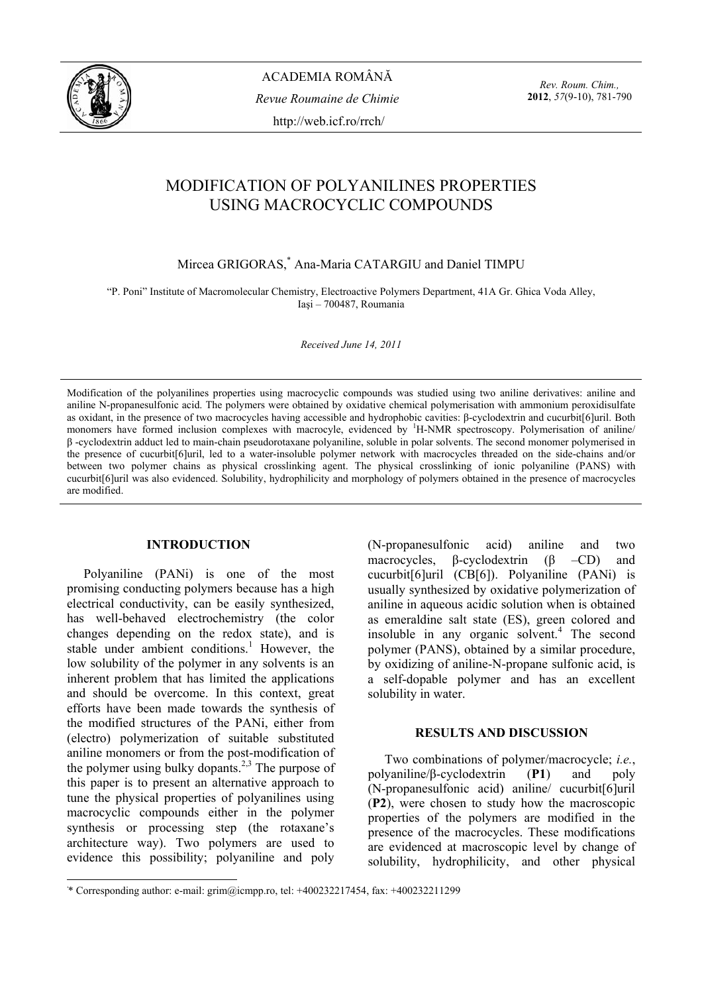

*Rev. Roum. Chim.,*  **2012**, *57*(9-10), 781-790

# MODIFICATION OF POLYANILINES PROPERTIES USING MACROCYCLIC COMPOUNDS

# Mircea GRIGORAS,\* Ana-Maria CATARGIU and Daniel TIMPU

"P. Poni" Institute of Macromolecular Chemistry, Electroactive Polymers Department, 41A Gr. Ghica Voda Alley, Iaşi – 700487, Roumania

*Received June 14, 2011* 

Modification of the polyanilines properties using macrocyclic compounds was studied using two aniline derivatives: aniline and aniline N-propanesulfonic acid. The polymers were obtained by oxidative chemical polymerisation with ammonium peroxidisulfate as oxidant, in the presence of two macrocycles having accessible and hydrophobic cavities: β-cyclodextrin and cucurbit[6]uril. Both monomers have formed inclusion complexes with macrocyle, evidenced by <sup>1</sup>H-NMR spectroscopy. Polymerisation of aniline/ β -cyclodextrin adduct led to main-chain pseudorotaxane polyaniline, soluble in polar solvents. The second monomer polymerised in the presence of cucurbit[6]uril, led to a water-insoluble polymer network with macrocycles threaded on the side-chains and/or between two polymer chains as physical crosslinking agent. The physical crosslinking of ionic polyaniline (PANS) with cucurbit[6]uril was also evidenced. Solubility, hydrophilicity and morphology of polymers obtained in the presence of macrocycles are modified.

## **INTRODUCTION\***

Polyaniline (PANi) is one of the most promising conducting polymers because has a high electrical conductivity, can be easily synthesized, has well-behaved electrochemistry (the color changes depending on the redox state), and is stable under ambient conditions.<sup>1</sup> However, the low solubility of the polymer in any solvents is an inherent problem that has limited the applications and should be overcome. In this context, great efforts have been made towards the synthesis of the modified structures of the PANi, either from (electro) polymerization of suitable substituted aniline monomers or from the post-modification of the polymer using bulky dopants.<sup>2,3</sup> The purpose of this paper is to present an alternative approach to tune the physical properties of polyanilines using macrocyclic compounds either in the polymer synthesis or processing step (the rotaxane's architecture way). Two polymers are used to evidence this possibility; polyaniline and poly

(N-propanesulfonic acid) aniline and two macrocycles, β-cyclodextrin (β –CD) and cucurbit[6]uril (CB[6]). Polyaniline (PANi) is usually synthesized by oxidative polymerization of aniline in aqueous acidic solution when is obtained as emeraldine salt state (ES), green colored and insoluble in any organic solvent.<sup>4</sup> The second polymer (PANS), obtained by a similar procedure, by oxidizing of aniline-N-propane sulfonic acid, is a self-dopable polymer and has an excellent solubility in water.

# **RESULTS AND DISCUSSION**

Two combinations of polymer/macrocycle; *i.e.*, polyaniline/β-cyclodextrin (**P1**) and poly (N-propanesulfonic acid) aniline/ cucurbit[6]uril (**P2**), were chosen to study how the macroscopic properties of the polymers are modified in the presence of the macrocycles. These modifications are evidenced at macroscopic level by change of solubility, hydrophilicity, and other physical

 \* \* Corresponding author: e-mail: grim@icmpp.ro, tel: +400232217454, fax: +400232211299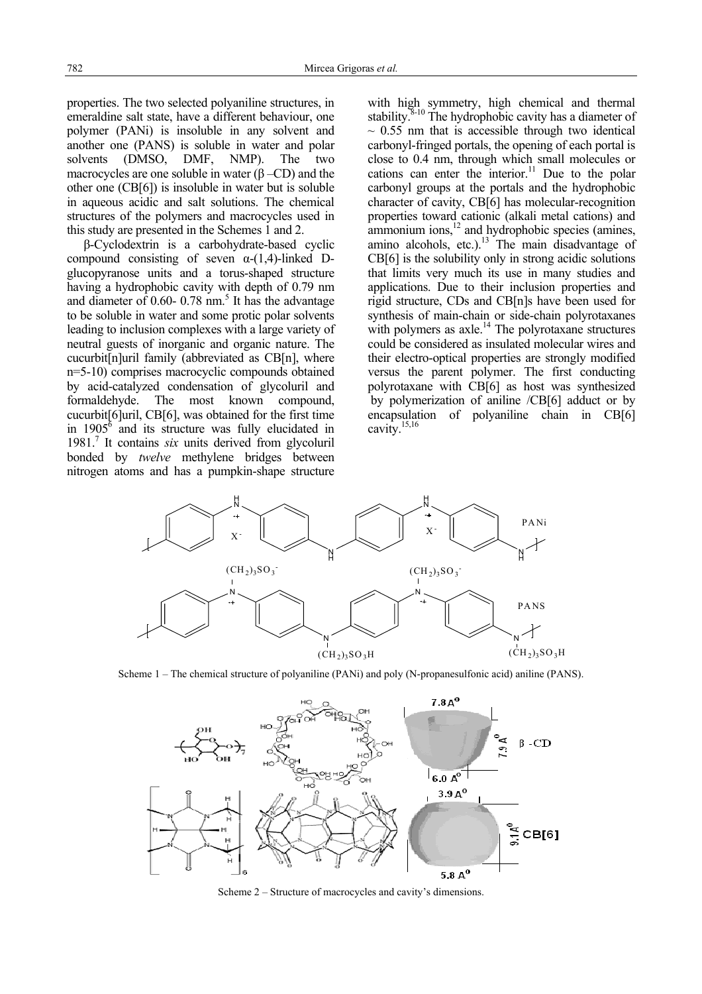properties. The two selected polyaniline structures, in emeraldine salt state, have a different behaviour, one polymer (PANi) is insoluble in any solvent and another one (PANS) is soluble in water and polar solvents (DMSO, DMF, NMP). The two macrocycles are one soluble in water  $(\beta$  –CD) and the other one (CB[6]) is insoluble in water but is soluble in aqueous acidic and salt solutions. The chemical structures of the polymers and macrocycles used in this study are presented in the Schemes 1 and 2.

β-Cyclodextrin is a carbohydrate-based cyclic compound consisting of seven  $\alpha$ -(1,4)-linked Dglucopyranose units and a torus-shaped structure having a hydrophobic cavity with depth of 0.79 nm and diameter of  $0.60 - 0.78$  nm.<sup>5</sup> It has the advantage to be soluble in water and some protic polar solvents leading to inclusion complexes with a large variety of neutral guests of inorganic and organic nature. The cucurbit[n]uril family (abbreviated as CB[n], where n=5-10) comprises macrocyclic compounds obtained by acid-catalyzed condensation of glycoluril and formaldehyde. The most known compound, cucurbit[6]uril, CB[6], was obtained for the first time in  $1905^6$  and its structure was fully elucidated in 1981.7 It contains *six* units derived from glycoluril bonded by *twelve* methylene bridges between nitrogen atoms and has a pumpkin-shape structure

with high symmetry, high chemical and thermal stability. $8-10$  The hydrophobic cavity has a diameter of  $\sim$  0.55 nm that is accessible through two identical carbonyl-fringed portals, the opening of each portal is close to 0.4 nm, through which small molecules or cations can enter the interior.<sup>11</sup> Due to the polar carbonyl groups at the portals and the hydrophobic character of cavity, CB[6] has molecular-recognition properties toward cationic (alkali metal cations) and ammonium ions, $^{12}$  and hydrophobic species (amines, amino alcohols, etc.).<sup>13</sup> The main disadvantage of CB[6] is the solubility only in strong acidic solutions that limits very much its use in many studies and applications. Due to their inclusion properties and rigid structure, CDs and CB[n]s have been used for synthesis of main-chain or side-chain polyrotaxanes with polymers as  $axle.<sup>14</sup>$  The polyrotaxane structures could be considered as insulated molecular wires and their electro-optical properties are strongly modified versus the parent polymer. The first conducting polyrotaxane with CB[6] as host was synthesized by polymerization of aniline /CB[6] adduct or by encapsulation of polyaniline chain in CB[6] cavity.15,16



Scheme 1 – The chemical structure of polyaniline (PANi) and poly (N-propanesulfonic acid) aniline (PANS).



Scheme 2 – Structure of macrocycles and cavity's dimensions.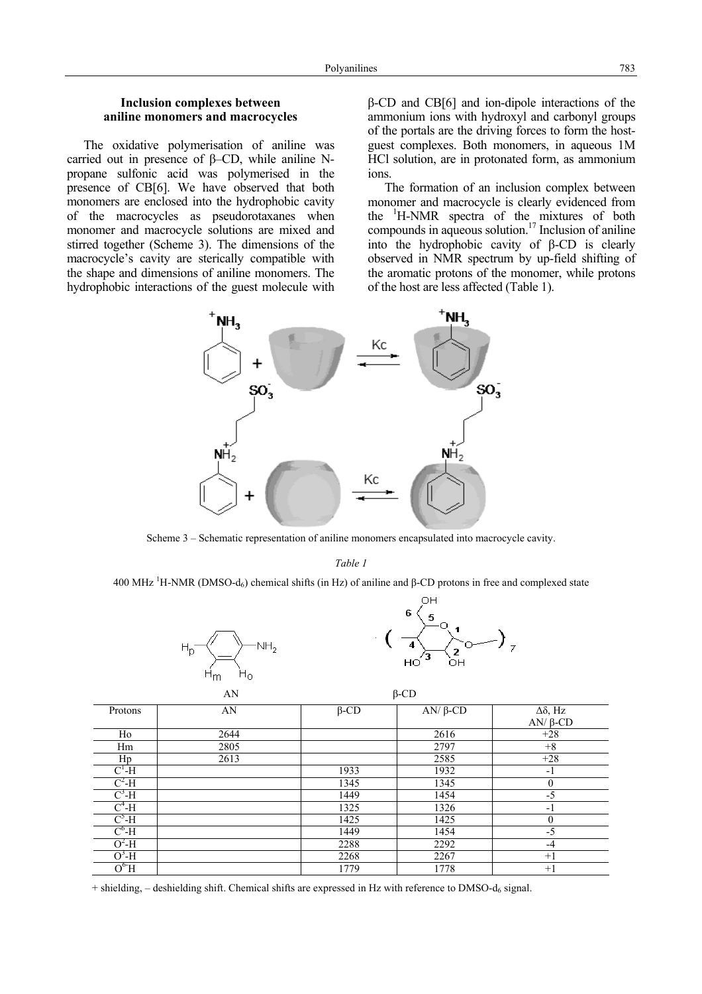### **Inclusion complexes between aniline monomers and macrocycles**

The oxidative polymerisation of aniline was carried out in presence of β–CD, while aniline Npropane sulfonic acid was polymerised in the presence of CB[6]. We have observed that both monomers are enclosed into the hydrophobic cavity of the macrocycles as pseudorotaxanes when monomer and macrocycle solutions are mixed and stirred together (Scheme 3). The dimensions of the macrocycle's cavity are sterically compatible with the shape and dimensions of aniline monomers. The hydrophobic interactions of the guest molecule with β-CD and CB[6] and ion-dipole interactions of the ammonium ions with hydroxyl and carbonyl groups of the portals are the driving forces to form the hostguest complexes. Both monomers, in aqueous 1M HCl solution, are in protonated form, as ammonium ions.

The formation of an inclusion complex between monomer and macrocycle is clearly evidenced from the <sup>1</sup>H-NMR spectra of the mixtures of both compounds in aqueous solution.<sup>17</sup> Inclusion of aniline into the hydrophobic cavity of β-CD is clearly observed in NMR spectrum by up-field shifting of the aromatic protons of the monomer, while protons of the host are less affected (Table 1).



Scheme 3 – Schematic representation of aniline monomers encapsulated into macrocycle cavity.

*Table 1* 

400 MHz <sup>1</sup>H-NMR (DMSO-d<sub>6</sub>) chemical shifts (in Hz) of aniline and β-CD protons in free and complexed state



|              | ۳                            | ◟▴<br>$HO^{'3}$<br>OH |            |                                         |
|--------------|------------------------------|-----------------------|------------|-----------------------------------------|
|              | $H_{\rm O}$<br>$H_{m}$<br>AN |                       |            |                                         |
| Protons      | AN                           | $\beta$ -CD           | $AN/β$ -CD | $\Delta \delta$ , Hz<br>$AN/ \beta$ -CD |
| Ho           | 2644                         |                       | 2616       | $+28$                                   |
| Hm           | 2805                         |                       | 2797       | $+8$                                    |
| Hp           | 2613                         |                       | 2585       | $+28$                                   |
| $C^1-H$      |                              | 1933                  | 1932       | $-1$                                    |
| $C^2-H$      |                              | 1345                  | 1345       | $\theta$                                |
| $\rm C^3$ -H |                              | 1449                  | 1454       | $-5$                                    |
| $C^4$ -H     |                              | 1325                  | 1326       | $-1$                                    |
| $C^5-H$      |                              | 1425                  | 1425       | $\theta$                                |
| $C^6$ -H     |                              | 1449                  | 1454       | $-5$                                    |
| $O^2-H$      |                              | 2288                  | 2292       | $-4$                                    |
| $O3-H$       |                              | 2268                  | 2267       | $+1$                                    |

 $+$  shielding,  $-$  deshielding shift. Chemical shifts are expressed in Hz with reference to DMSO-d<sub>6</sub> signal.

 $-$ H  $\vert$  2268  $\vert$  2267  $+1$  $O^6H$  1779 1778 +1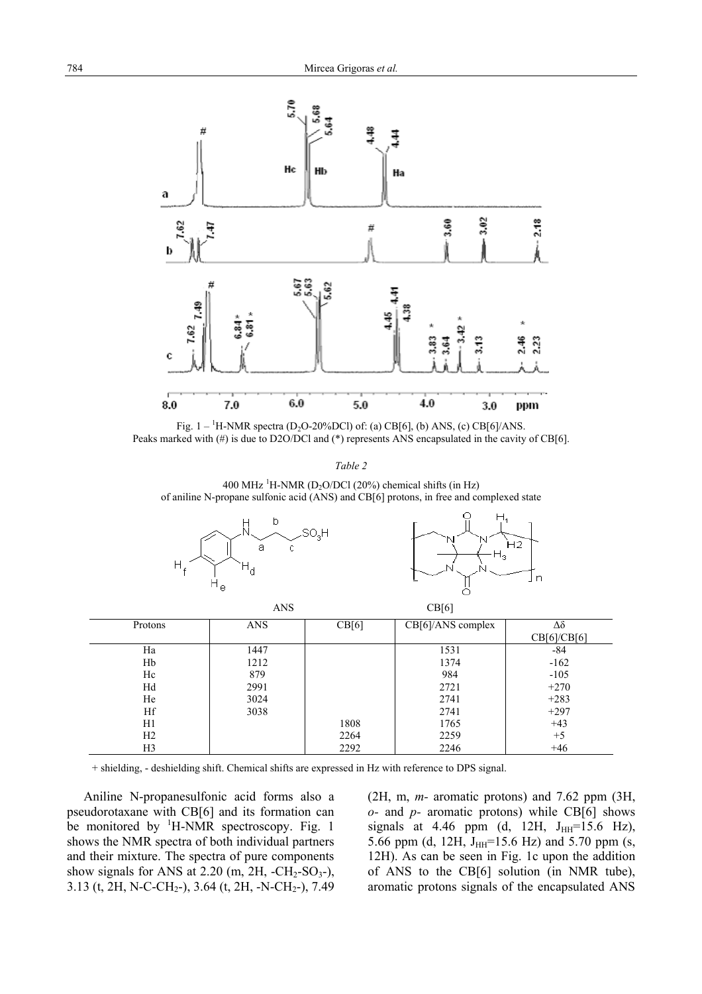

Fig.  $1 - {}^{1}H$ -NMR spectra (D<sub>2</sub>O-20%DCl) of: (a) CB[6], (b) ANS, (c) CB[6]/ANS. Peaks marked with (#) is due to D2O/DCl and (\*) represents ANS encapsulated in the cavity of CB[6].

*Table 2* 

400 MHz <sup>1</sup>H-NMR (D<sub>2</sub>O/DCl (20%) chemical shifts (in Hz) of aniline N-propane sulfonic acid (ANS) and CB[6] protons, in free and complexed state





|                | <b>ANS</b> |       | CB[6]             |             |
|----------------|------------|-------|-------------------|-------------|
| Protons        | <b>ANS</b> | CB[6] | CB[6]/ANS complex | Δδ          |
|                |            |       |                   | CB[6]/CB[6] |
| Ha             | 1447       |       | 1531              | -84         |
| Hb             | 1212       |       | 1374              | $-162$      |
| Hc             | 879        |       | 984               | $-105$      |
| Hd             | 2991       |       | 2721              | $+270$      |
| He             | 3024       |       | 2741              | $+283$      |
| Hf             | 3038       |       | 2741              | $+297$      |
| H1             |            | 1808  | 1765              | $+43$       |
| H <sub>2</sub> |            | 2264  | 2259              | $+5$        |
| H <sub>3</sub> |            | 2292  | 2246              | $+46$       |

+ shielding, - deshielding shift. Chemical shifts are expressed in Hz with reference to DPS signal.

Aniline N-propanesulfonic acid forms also a pseudorotaxane with CB[6] and its formation can be monitored by  ${}^{1}$ H-NMR spectroscopy. Fig. 1 shows the NMR spectra of both individual partners and their mixture. The spectra of pure components show signals for ANS at  $2.20$  (m,  $2H$ ,  $-CH_2-SO_3$ -), 3.13 (t, 2H, N-C-CH<sub>2</sub>-), 3.64 (t, 2H, -N-CH<sub>2</sub>-), 7.49

(2H, m, *m-* aromatic protons) and 7.62 ppm (3H, *o-* and *p-* aromatic protons) while CB[6] shows signals at 4.46 ppm (d, 12H,  $J_{HH}$ =15.6 Hz), 5.66 ppm (d, 12H,  $J_{HH}$ =15.6 Hz) and 5.70 ppm (s, 12H). As can be seen in Fig. 1c upon the addition of ANS to the CB[6] solution (in NMR tube), aromatic protons signals of the encapsulated ANS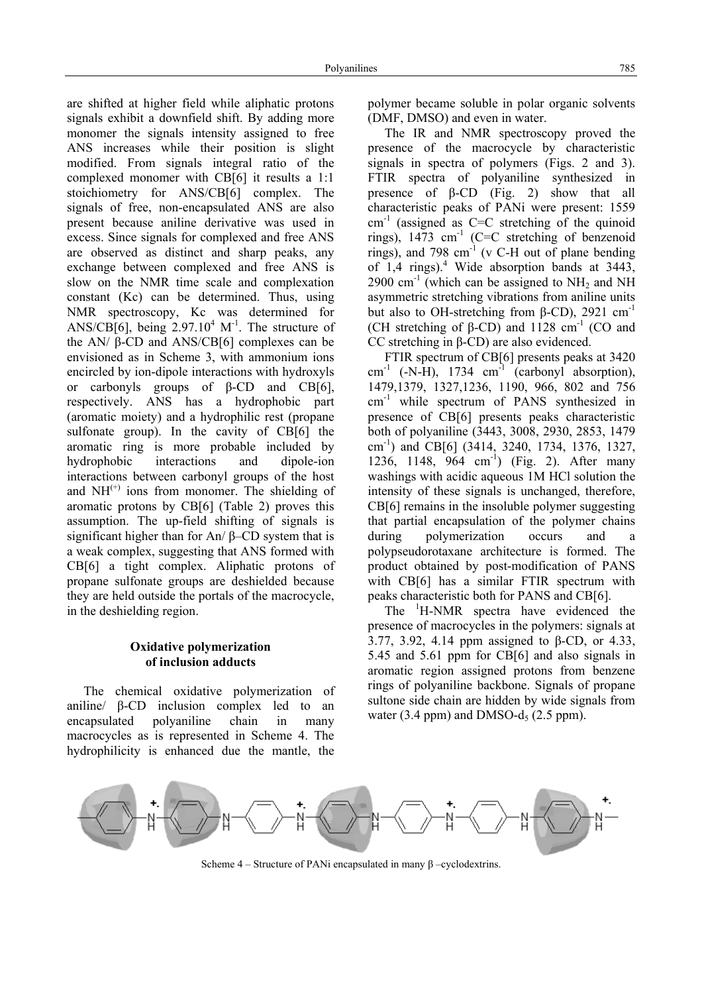are shifted at higher field while aliphatic protons signals exhibit a downfield shift. By adding more monomer the signals intensity assigned to free ANS increases while their position is slight modified. From signals integral ratio of the complexed monomer with CB[6] it results a 1:1 stoichiometry for ANS/CB[6] complex. The signals of free, non-encapsulated ANS are also present because aniline derivative was used in excess. Since signals for complexed and free ANS are observed as distinct and sharp peaks, any exchange between complexed and free ANS is slow on the NMR time scale and complexation constant (Kc) can be determined. Thus, using NMR spectroscopy, Kc was determined for ANS/CB[6], being  $2.97.10^4$  M<sup>-1</sup>. The structure of the AN/ $β$ -CD and ANS/CB[6] complexes can be envisioned as in Scheme 3, with ammonium ions encircled by ion-dipole interactions with hydroxyls or carbonyls groups of β-CD and CB[6], respectively. ANS has a hydrophobic part (aromatic moiety) and a hydrophilic rest (propane sulfonate group). In the cavity of CB[6] the aromatic ring is more probable included by hydrophobic interactions and dipole-ion interactions between carbonyl groups of the host and  $NH<sup>(+)</sup>$  ions from monomer. The shielding of aromatic protons by CB[6] (Table 2) proves this assumption. The up-field shifting of signals is significant higher than for An/ β–CD system that is a weak complex, suggesting that ANS formed with CB[6] a tight complex. Aliphatic protons of propane sulfonate groups are deshielded because they are held outside the portals of the macrocycle, in the deshielding region.

# **Oxidative polymerization of inclusion adducts**

The chemical oxidative polymerization of aniline/ β-CD inclusion complex led to an encapsulated polyaniline chain in many macrocycles as is represented in Scheme 4. The hydrophilicity is enhanced due the mantle, the polymer became soluble in polar organic solvents (DMF, DMSO) and even in water.

The IR and NMR spectroscopy proved the presence of the macrocycle by characteristic signals in spectra of polymers (Figs. 2 and 3). FTIR spectra of polyaniline synthesized in presence of β-CD (Fig. 2) show that all characteristic peaks of PANi were present: 1559  $cm^{-1}$  (assigned as C=C stretching of the quinoid rings),  $1473 \text{ cm}^{-1}$  (C=C stretching of benzenoid rings), and 798 cm-1 (v C-H out of plane bending of  $1,4$  rings).<sup>4</sup> Wide absorption bands at 3443, 2900 cm<sup>-1</sup> (which can be assigned to  $NH_2$  and NH asymmetric stretching vibrations from aniline units but also to OH-stretching from β-CD), 2921 cm<sup>-1</sup> (CH stretching of β-CD) and 1128 cm<sup>-1</sup> (CO and CC stretching in β-CD) are also evidenced.

FTIR spectrum of CB[6] presents peaks at 3420  $cm^{-1}$  (-N-H), 1734  $cm^{-1}$  (carbonyl absorption), 1479,1379, 1327,1236, 1190, 966, 802 and 756 cm-1 while spectrum of PANS synthesized in presence of CB[6] presents peaks characteristic both of polyaniline (3443, 3008, 2930, 2853, 1479 cm-1) and CB[6] (3414, 3240, 1734, 1376, 1327, 1236, 1148, 964 cm<sup>-1</sup>) (Fig. 2). After many washings with acidic aqueous 1M HCl solution the intensity of these signals is unchanged, therefore, CB[6] remains in the insoluble polymer suggesting that partial encapsulation of the polymer chains during polymerization occurs and a polypseudorotaxane architecture is formed. The product obtained by post-modification of PANS with CB[6] has a similar FTIR spectrum with peaks characteristic both for PANS and CB[6].

The <sup>1</sup>H-NMR spectra have evidenced the presence of macrocycles in the polymers: signals at 3.77, 3.92, 4.14 ppm assigned to β-CD, or 4.33, 5.45 and 5.61 ppm for CB[6] and also signals in aromatic region assigned protons from benzene rings of polyaniline backbone. Signals of propane sultone side chain are hidden by wide signals from water  $(3.4 \text{ ppm})$  and DMSO-d<sub>5</sub>  $(2.5 \text{ ppm})$ .



Scheme  $4$  – Structure of PANi encapsulated in many β –cyclodextrins.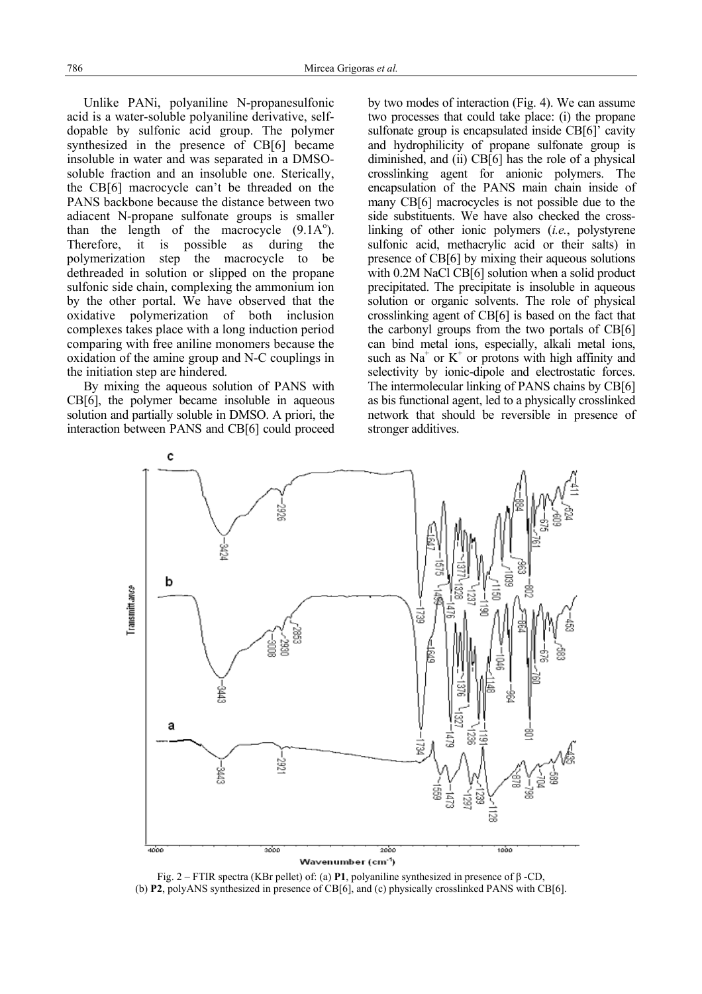Unlike PANi, polyaniline N-propanesulfonic acid is a water-soluble polyaniline derivative, selfdopable by sulfonic acid group. The polymer synthesized in the presence of CB[6] became insoluble in water and was separated in a DMSOsoluble fraction and an insoluble one. Sterically, the CB[6] macrocycle can't be threaded on the PANS backbone because the distance between two adiacent N-propane sulfonate groups is smaller than the length of the macrocycle  $(9.1A<sup>o</sup>)$ . Therefore, it is possible as during the polymerization step the macrocycle to be dethreaded in solution or slipped on the propane sulfonic side chain, complexing the ammonium ion by the other portal. We have observed that the oxidative polymerization of both inclusion complexes takes place with a long induction period comparing with free aniline monomers because the oxidation of the amine group and N-C couplings in the initiation step are hindered*.* 

By mixing the aqueous solution of PANS with CB[6], the polymer became insoluble in aqueous solution and partially soluble in DMSO. A priori, the interaction between PANS and CB[6] could proceed by two modes of interaction (Fig. 4). We can assume two processes that could take place: (i) the propane sulfonate group is encapsulated inside CB[6]' cavity and hydrophilicity of propane sulfonate group is diminished, and (ii) CB[6] has the role of a physical crosslinking agent for anionic polymers. The encapsulation of the PANS main chain inside of many CB[6] macrocycles is not possible due to the side substituents. We have also checked the crosslinking of other ionic polymers (*i.e.*, polystyrene sulfonic acid, methacrylic acid or their salts) in presence of CB[6] by mixing their aqueous solutions with 0.2M NaCl CB[6] solution when a solid product precipitated. The precipitate is insoluble in aqueous solution or organic solvents. The role of physical crosslinking agent of CB[6] is based on the fact that the carbonyl groups from the two portals of CB[6] can bind metal ions, especially, alkali metal ions, such as  $Na<sup>+</sup>$  or  $K<sup>+</sup>$  or protons with high affinity and selectivity by ionic-dipole and electrostatic forces. The intermolecular linking of PANS chains by CB[6] as bis functional agent, led to a physically crosslinked network that should be reversible in presence of stronger additives.



Fig. 2 – FTIR spectra (KBr pellet) of: (a) **P1**, polyaniline synthesized in presence of β -CD, (b) **P2**, polyANS synthesized in presence of CB[6], and (c) physically crosslinked PANS with CB[6].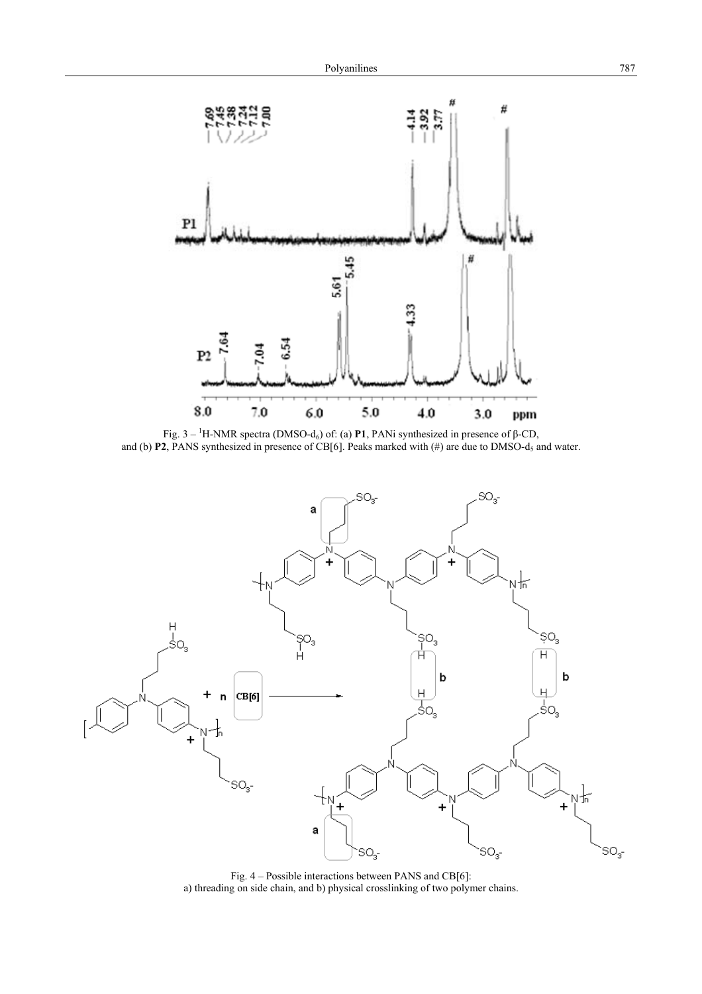

Fig.  $3 - {}^{1}H$ -NMR spectra (DMSO-d<sub>6</sub>) of: (a) **P1**, PANi synthesized in presence of β-CD, and (b) **P2**, PANS synthesized in presence of CB[6]. Peaks marked with (#) are due to DMSO-d<sub>5</sub> and water.



Fig. 4 – Possible interactions between PANS and CB[6]: a) threading on side chain, and b) physical crosslinking of two polymer chains.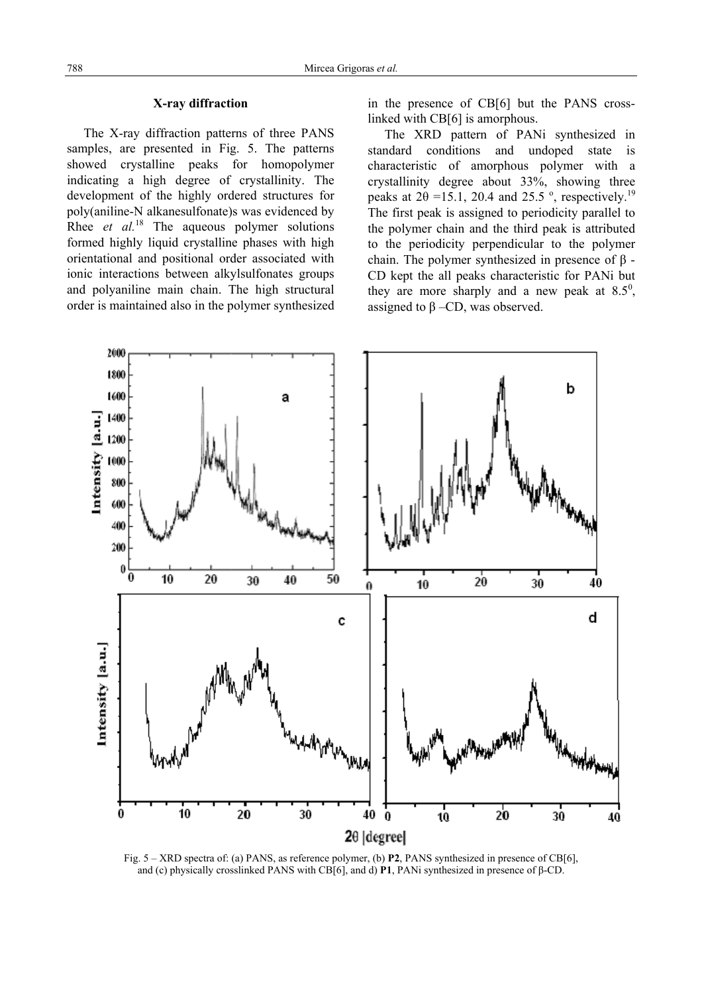# **X-ray diffraction**

The X-ray diffraction patterns of three PANS samples, are presented in Fig. 5. The patterns showed crystalline peaks for homopolymer indicating a high degree of crystallinity. The development of the highly ordered structures for poly(aniline-N alkanesulfonate)s was evidenced by Rhee *et al.*<sup>18</sup> The aqueous polymer solutions formed highly liquid crystalline phases with high orientational and positional order associated with ionic interactions between alkylsulfonates groups and polyaniline main chain. The high structural order is maintained also in the polymer synthesized

in the presence of CB[6] but the PANS crosslinked with CB[6] is amorphous.

The XRD pattern of PANi synthesized in standard conditions and undoped state is characteristic of amorphous polymer with a crystallinity degree about 33%, showing three peaks at  $2\theta$  =15.1, 20.4 and 25.5<sup>o</sup>, respectively.<sup>19</sup> The first peak is assigned to periodicity parallel to the polymer chain and the third peak is attributed to the periodicity perpendicular to the polymer chain. The polymer synthesized in presence of  $β$  -CD kept the all peaks characteristic for PANi but they are more sharply and a new peak at  $8.5^\circ$ , assigned to  $\beta$  –CD, was observed.



Fig. 5 – XRD spectra of: (a) PANS, as reference polymer, (b) **P2**, PANS synthesized in presence of CB[6], and (c) physically crosslinked PANS with CB[6], and d) **P1**, PANi synthesized in presence of β-CD.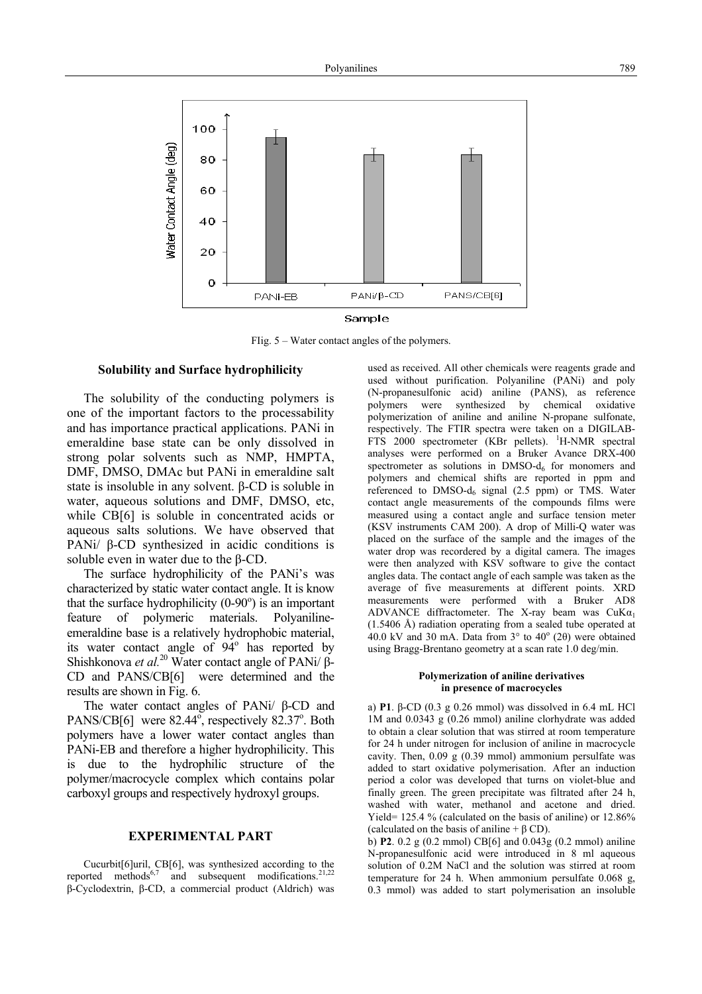

FIig. 5 – Water contact angles of the polymers.

#### **Solubility and Surface hydrophilicity**

The solubility of the conducting polymers is one of the important factors to the processability and has importance practical applications. PANi in emeraldine base state can be only dissolved in strong polar solvents such as NMP, HMPTA, DMF, DMSO, DMAc but PANi in emeraldine salt state is insoluble in any solvent. β-CD is soluble in water, aqueous solutions and DMF, DMSO, etc, while CB[6] is soluble in concentrated acids or aqueous salts solutions. We have observed that PANi/ β-CD synthesized in acidic conditions is soluble even in water due to the β-CD.

The surface hydrophilicity of the PANi's was characterized by static water contact angle. It is know that the surface hydrophilicity  $(0-90^\circ)$  is an important feature of polymeric materials. Polyanilineemeraldine base is a relatively hydrophobic material, its water contact angle of  $94^\circ$  has reported by Shishkonova *et al.*20 Water contact angle of PANi/ β-CD and PANS/CB[6] were determined and the results are shown in Fig. 6.

The water contact angles of PANi/ β-CD and PANS/CB[6] were  $82.44^\circ$ , respectively  $82.37^\circ$ . Both polymers have a lower water contact angles than PANi-EB and therefore a higher hydrophilicity. This is due to the hydrophilic structure of the polymer/macrocycle complex which contains polar carboxyl groups and respectively hydroxyl groups.

#### **EXPERIMENTAL PART**

Cucurbit[6]uril, CB[6], was synthesized according to the reported methods<sup>6,7</sup> and subsequent modifications.<sup>21,22</sup> β-Cyclodextrin, β-CD, a commercial product (Aldrich) was used as received. All other chemicals were reagents grade and used without purification. Polyaniline (PANi) and poly (N-propanesulfonic acid) aniline (PANS), as reference polymers were synthesized by chemical oxidative polymerization of aniline and aniline N-propane sulfonate, respectively. The FTIR spectra were taken on a DIGILAB-FTS 2000 spectrometer (KBr pellets). <sup>1</sup>H-NMR spectral analyses were performed on a Bruker Avance DRX-400 spectrometer as solutions in  $DMSO-d<sub>6</sub>$  for monomers and polymers and chemical shifts are reported in ppm and referenced to  $DMSO-d_6$  signal (2.5 ppm) or TMS. Water contact angle measurements of the compounds films were measured using a contact angle and surface tension meter (KSV instruments CAM 200). A drop of Milli-Q water was placed on the surface of the sample and the images of the water drop was recordered by a digital camera. The images were then analyzed with KSV software to give the contact angles data. The contact angle of each sample was taken as the average of five measurements at different points. XRD measurements were performed with a Bruker AD8 ADVANCE diffractometer. The X-ray beam was  $CuKa<sub>1</sub>$ (1.5406 Å) radiation operating from a sealed tube operated at 40.0 kV and 30 mA. Data from  $3^{\circ}$  to  $40^{\circ}$  (2 $\theta$ ) were obtained using Bragg-Brentano geometry at a scan rate 1.0 deg/min.

#### **Polymerization of aniline derivatives in presence of macrocycles**

a) **P1**. β-CD (0.3 g 0.26 mmol) was dissolved in 6.4 mL HCl 1M and 0.0343 g (0.26 mmol) aniline clorhydrate was added to obtain a clear solution that was stirred at room temperature for 24 h under nitrogen for inclusion of aniline in macrocycle cavity. Then, 0.09 g (0.39 mmol) ammonium persulfate was added to start oxidative polymerisation. After an induction period a color was developed that turns on violet-blue and finally green. The green precipitate was filtrated after 24 h, washed with water, methanol and acetone and dried. Yield= 125.4 % (calculated on the basis of aniline) or 12.86% (calculated on the basis of aniline  $+ \beta$  CD).

b) **P2**. 0.2 g (0.2 mmol) CB[6] and 0.043g (0.2 mmol) aniline N-propanesulfonic acid were introduced in 8 ml aqueous solution of 0.2M NaCl and the solution was stirred at room temperature for 24 h. When ammonium persulfate 0.068 g, 0.3 mmol) was added to start polymerisation an insoluble